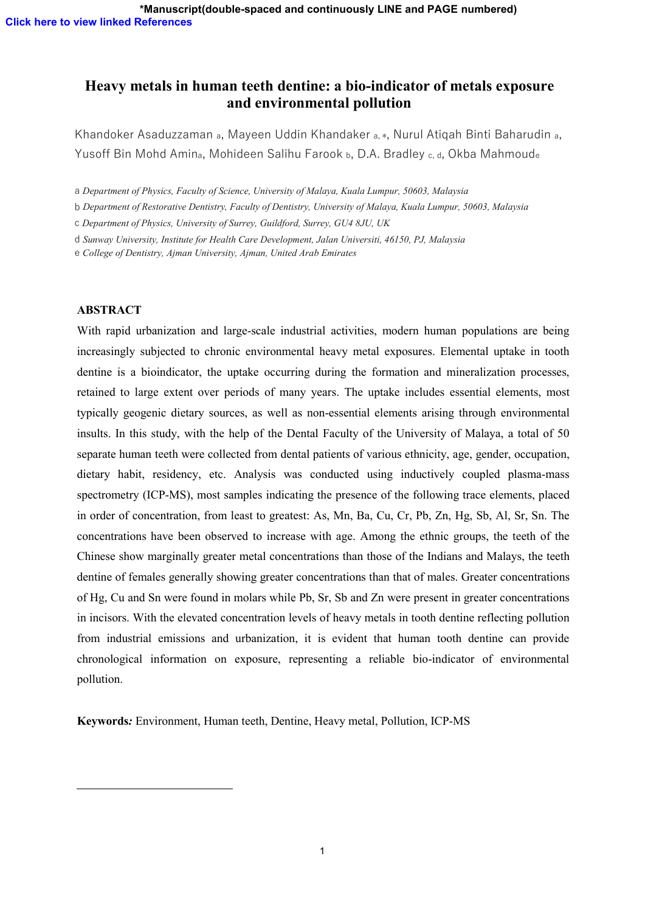# **Heavy metals in human teeth dentine: a bio-indicator of metals exposure and environmental pollution**

Khandoker Asaduzzaman <sup>a</sup>, Mayeen Uddin Khandaker a, <sup>∗</sup>, Nurul Atiqah Binti Baharudin <sup>a</sup>, Yusoff Bin Mohd Amin<sub>a</sub>, Mohideen Salihu Farook b, D.A. Bradley c, d, Okba Mahmoude

a *Department of Physics, Faculty of Science, University of Malaya, Kuala Lumpur, 50603, Malaysia*

b *Department of Restorative Dentistry, Faculty of Dentistry, University of Malaya, Kuala Lumpur, 50603, Malaysia*

c *Department of Physics, University of Surrey, Guildford, Surrey, GU4 8JU, UK*

d *Sunway University, Institute for Health Care Development, Jalan Universiti, 46150, PJ, Malaysia*

e *College of Dentistry, Ajman University, Ajman, United Arab Emirates*

# **ABSTRACT**

With rapid urbanization and large-scale industrial activities, modern human populations are being increasingly subjected to chronic environmental heavy metal exposures. Elemental uptake in tooth dentine is a bioindicator, the uptake occurring during the formation and mineralization processes, retained to large extent over periods of many years. The uptake includes essential elements, most typically geogenic dietary sources, as well as non-essential elements arising through environmental insults. In this study, with the help of the Dental Faculty of the University of Malaya, a total of 50 separate human teeth were collected from dental patients of various ethnicity, age, gender, occupation, dietary habit, residency, etc. Analysis was conducted using inductively coupled plasma-mass spectrometry (ICP-MS), most samples indicating the presence of the following trace elements, placed in order of concentration, from least to greatest: As, Mn, Ba, Cu, Cr, Pb, Zn, Hg, Sb, Al, Sr, Sn. The concentrations have been observed to increase with age. Among the ethnic groups, the teeth of the Chinese show marginally greater metal concentrations than those of the Indians and Malays, the teeth dentine of females generally showing greater concentrations than that of males. Greater concentrations of Hg, Cu and Sn were found in molars while Pb, Sr, Sb and Zn were present in greater concentrations in incisors. With the elevated concentration levels of heavy metals in tooth dentine reflecting pollution from industrial emissions and urbanization, it is evident that human tooth dentine can provide chronological information on exposure, representing areliable bio-indicator of environmental pollution.

**Keywords***:* Environment, Human teeth, Dentine, Heavy metal, Pollution, ICP-MS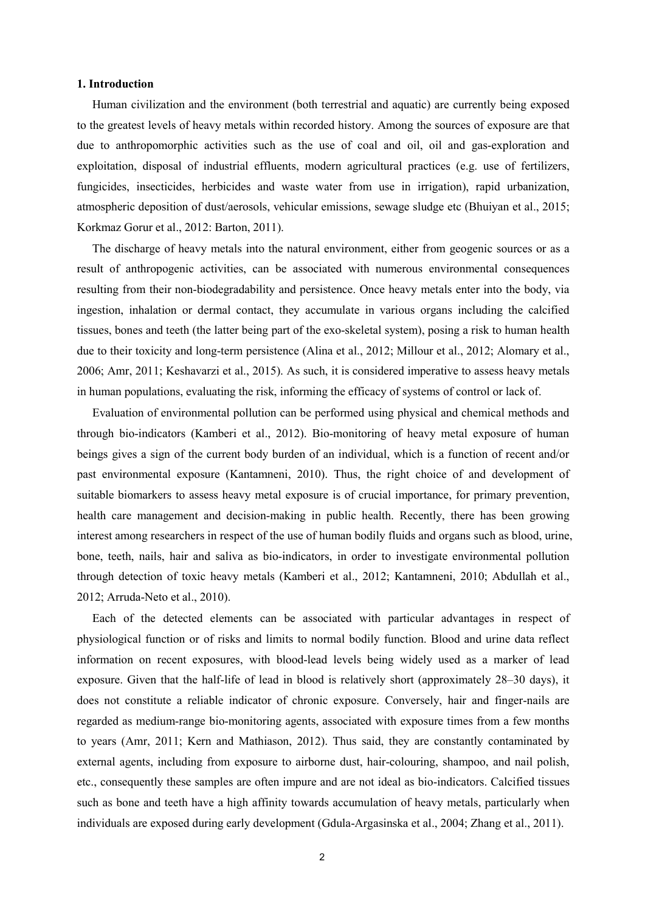# **1. Introduction**

Human civilization and the environment (both terrestrial and aquatic) are currently being exposed to the greatest levels of heavy metals within recorded history. Among the sources of exposure are that due to anthropomorphic activities such as the use of coal and oil, oil and gas-exploration and exploitation, disposal of industrial effluents, modern agricultural practices (e.g. use of fertilizers, fungicides, insecticides, herbicides and waste water from use in irrigation), rapid urbanization, atmospheric deposition of dust/aerosols, vehicular emissions, sewage sludge etc (Bhuiyan et al., 2015; Korkmaz Gorur et al., 2012: Barton, 2011).

The discharge of heavy metals into the natural environment, either from geogenic sources or as a result of anthropogenic activities, can be associated with numerous environmental consequences resulting from their non-biodegradability and persistence. Once heavy metals enter into the body, via ingestion, inhalation or dermal contact, they accumulate in various organs including the calcified tissues, bones and teeth (the latter being part of the exo-skeletal system), posing a risk to human health due to their toxicity and long-term persistence (Alina et al., 2012; Millour et al., 2012; Alomary et al., 2006; Amr, 2011; Keshavarzi et al., 2015). As such, it is considered imperative to assess heavy metals in human populations, evaluating the risk, informing the efficacy of systems of control or lack of.

Evaluation of environmental pollution can be performed using physical and chemical methods and through bio-indicators (Kamberi et al., 2012). Bio-monitoring of heavy metal exposure of human beings gives a sign of the current body burden of an individual, which is a function of recent and/or past environmental exposure (Kantamneni, 2010). Thus, the right choice of and development of suitable biomarkers to assess heavy metal exposure is of crucial importance, for primary prevention, health care management and decision-making in public health. Recently, there has been growing interest among researchers in respect of the use of human bodily fluids and organs such as blood, urine, bone, teeth, nails, hair and saliva as bio-indicators, in order to investigate environmental pollution through detection of toxic heavy metals (Kamberi et al., 2012; Kantamneni, 2010; Abdullah et al., 2012; Arruda-Neto et al., 2010).

Each of the detected elements can be associated with particular advantages in respect of physiological function or of risks and limits to normal bodily function. Blood and urine data reflect information on recent exposures, with blood-lead levels being widely used as a marker of lead exposure. Given that the half-life of lead in blood is relatively short (approximately 28–30 days), it does not constitute a reliable indicator of chronic exposure. Conversely, hair and finger-nails are regarded as medium-range bio-monitoring agents, associated with exposure times from a few months to years (Amr, 2011; Kern and Mathiason, 2012). Thus said, they are constantly contaminated by external agents, including from exposure to airborne dust, hair-colouring, shampoo, and nail polish, etc., consequently these samples are often impure and are not ideal as bio-indicators. Calcified tissues such as bone and teeth have a high affinity towards accumulation of heavy metals, particularly when individuals are exposed during early development (Gdula-Argasinska et al., 2004; Zhang et al., 2011).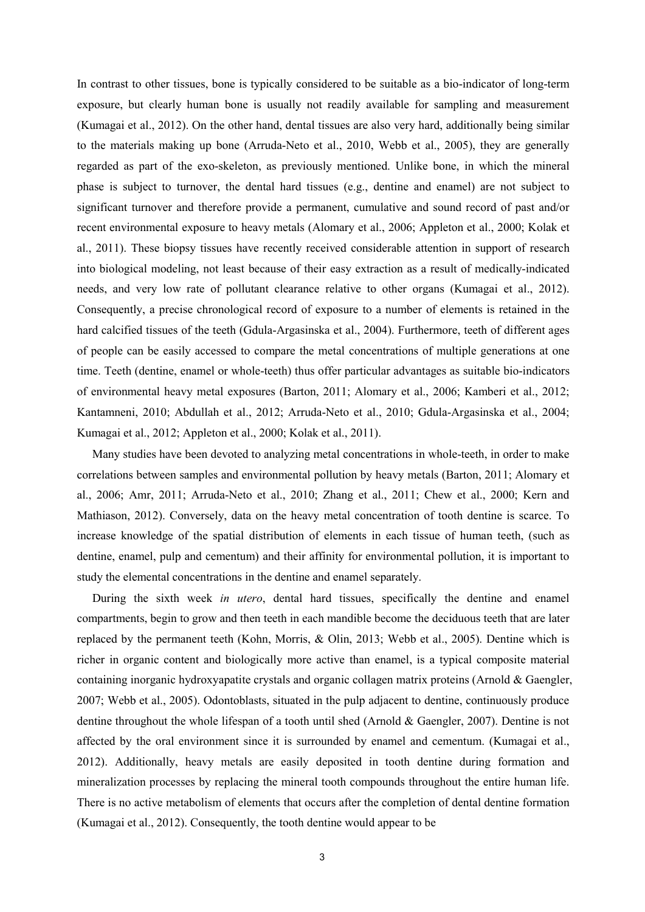In contrast to other tissues, bone is typically considered to be suitable as a bio-indicator of long-term exposure, but clearly human bone is usually not readily available for sampling and measurement (Kumagai et al., 2012). On the other hand, dental tissues are also very hard, additionally being similar to the materials making up bone (Arruda-Neto et al., 2010, Webb et al., 2005), they are generally regarded as part of the exo-skeleton, as previously mentioned. Unlike bone, in which the mineral phase is subject to turnover, the dental hard tissues (e.g., dentine and enamel) are not subject to significant turnover and therefore provide a permanent, cumulative and sound record of past and/or recent environmental exposure to heavy metals (Alomary et al., 2006; Appleton et al., 2000; Kolak et al., 2011). These biopsy tissues have recently received considerable attention in support of research into biological modeling, not least because of their easy extraction as a result of medically-indicated needs, and very low rate of pollutant clearance relative to other organs (Kumagai et al., 2012). Consequently, a precise chronological record of exposure to a number of elements is retained in the hard calcified tissues of the teeth (Gdula-Argasinska et al., 2004). Furthermore, teeth of different ages of people can be easily accessed to compare the metal concentrations of multiple generations at one time. Teeth (dentine, enamel or whole-teeth) thus offer particular advantages as suitable bio-indicators of environmental heavy metal exposures (Barton, 2011; Alomary et al., 2006; Kamberi et al., 2012; Kantamneni, 2010; Abdullah et al., 2012; Arruda-Neto et al., 2010; Gdula-Argasinska et al., 2004; Kumagai et al., 2012; Appleton et al., 2000; Kolak et al., 2011).

Many studies have been devoted to analyzing metal concentrations in whole-teeth, in order to make correlations between samples and environmental pollution by heavy metals (Barton, 2011; Alomary et al., 2006; Amr, 2011; Arruda-Neto et al., 2010; Zhang et al., 2011; Chew et al., 2000; Kern and Mathiason, 2012). Conversely, data on the heavy metal concentration of tooth dentine is scarce. To increase knowledge of the spatial distribution of elements in each tissue of human teeth, (such as dentine, enamel, pulp and cementum) and their affinity for environmental pollution, it is important to study the elemental concentrations in the dentine and enamel separately.

During the sixth week *in utero*, dental hard tissues, specifically the dentine and enamel compartments, begin to grow and then teeth in each mandible become the deciduous teeth that are later replaced by the permanent teeth (Kohn, Morris, & Olin, 2013; Webb et al., 2005). Dentine which is richer in organic content and biologically more active than enamel, is a typical composite material containing inorganic hydroxyapatite crystals and organic collagen matrix proteins (Arnold & Gaengler, 2007; Webb et al., 2005). Odontoblasts, situated in the pulp adjacent to dentine, continuously produce dentine throughout the whole lifespan of a tooth until shed (Arnold & Gaengler, 2007). Dentine is not affected by the oral environment since it is surrounded by enamel and cementum.(Kumagai et al., 2012). Additionally, heavy metals are easily deposited in tooth dentine during formation and mineralization processes by replacing the mineral tooth compounds throughout the entire human life. There is no active metabolism of elements that occurs after the completion of dental dentine formation (Kumagai et al., 2012). Consequently, the tooth dentine would appear to be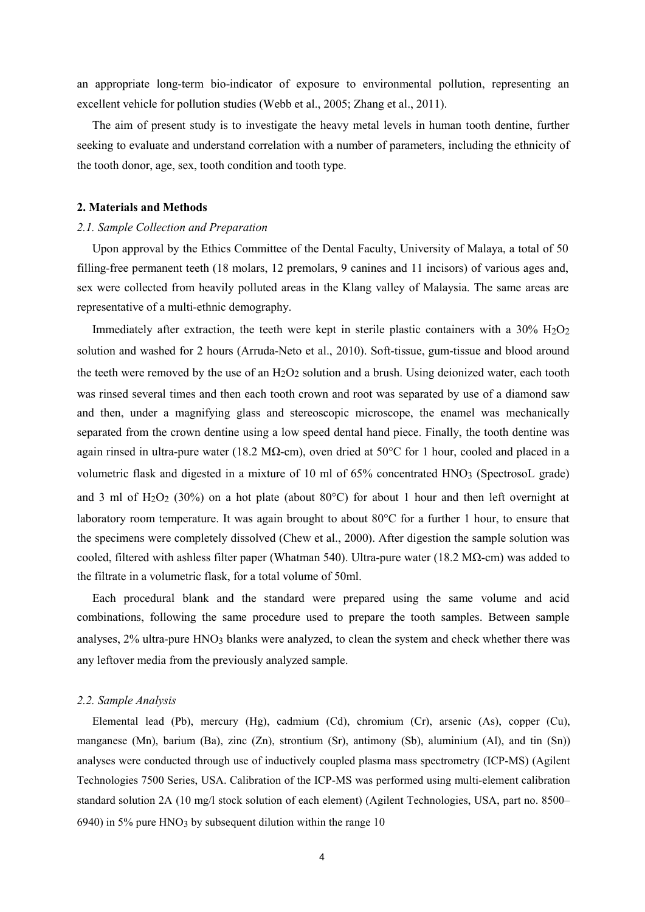an appropriate long-term bio-indicator of exposure to environmental pollution, representing an excellent vehicle for pollution studies (Webb et al., 2005; Zhang et al., 2011).

The aim of present study is to investigate the heavy metal levels in human tooth dentine, further seeking to evaluate and understand correlation with a number of parameters, including the ethnicity of the tooth donor, age, sex, tooth condition and tooth type.

# **2. Materials and Methods**

#### *2.1. Sample Collection and Preparation*

Upon approval by the Ethics Committee of the Dental Faculty, University of Malaya, a total of 50 filling-free permanent teeth (18 molars, 12 premolars, 9 canines and 11 incisors) of various ages and, sex were collected from heavily polluted areas in the Klang valley of Malaysia. The same areas are representative of a multi-ethnic demography.

Immediately after extraction, the teeth were kept in sterile plastic containers with a  $30\%$   $H_2O_2$ solution and washed for 2 hours (Arruda-Neto et al., 2010). Soft-tissue, gum-tissue and blood around the teeth were removed by the use of an H<sub>2</sub>O<sub>2</sub> solution and a brush. Using deionized water, each tooth was rinsed several times and then each tooth crown and root was separated by use of a diamond saw and then, under a magnifying glass and stereoscopic microscope, the enamel was mechanically separated from the crown dentine using a low speed dental hand piece. Finally, the tooth dentine was again rinsed in ultra-pure water (18.2 M $\Omega$ -cm), oven dried at 50°C for 1 hour, cooled and placed in a volumetric flask and digested in a mixture of 10 ml of 65% concentrated HNO3 (SpectrosoL grade) and 3 ml of H<sub>2</sub>O<sub>2</sub> (30%) on a hot plate (about 80 $^{\circ}$ C) for about 1 hour and then left overnight at laboratory room temperature. It was again brought to about 80°C for a further 1 hour, to ensure that the specimens were completely dissolved (Chew et al., 2000). After digestion the sample solution was cooled, filtered with ashless filter paper (Whatman 540). Ultra-pure water (18.2 M $\Omega$ -cm) was added to the filtrate in a volumetric flask, for a total volume of 50ml.

Each procedural blank and the standard were prepared using the same volume and acid combinations, following the same procedure used to prepare the tooth samples. Between sample analyses, 2% ultra-pure HNO3 blanks were analyzed, to clean the system and check whether there was any leftover media from the previously analyzed sample.

#### *2.2. Sample Analysis*

Elemental lead (Pb), mercury (Hg), cadmium (Cd), chromium (Cr), arsenic (As), copper (Cu), manganese (Mn), barium (Ba), zinc (Zn), strontium (Sr), antimony (Sb), aluminium (Al), and tin (Sn)) analyses were conducted through use of inductively coupled plasma mass spectrometry (ICP-MS) (Agilent Technologies 7500 Series, USA. Calibration of the ICP-MS was performed using multi-element calibration standard solution 2A (10 mg/l stock solution of each element) (Agilent Technologies, USA, part no. 8500– 6940) in 5% pure HNO<sub>3</sub> by subsequent dilution within the range 10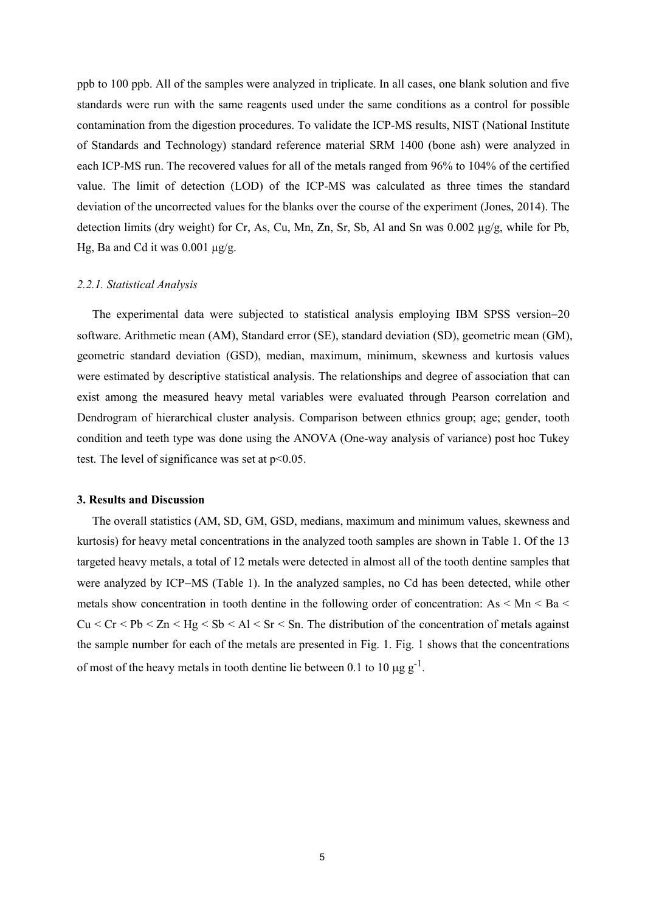ppb to 100 ppb.All of the samples were analyzed in triplicate. In all cases, one blank solution and five standards were run with the same reagents used under the same conditions as a control for possible contamination from the digestion procedures. To validate the ICP-MS results, NIST (National Institute of Standards and Technology) standard reference material SRM 1400 (bone ash) were analyzed in each ICP-MS run. The recovered values for all of the metals ranged from 96% to 104% of the certified value. The limit of detection (LOD) of the ICP-MS was calculated as three times the standard deviation of the uncorrected values for the blanks over the course of the experiment (Jones, 2014). The detection limits (dry weight) for Cr, As, Cu, Mn, Zn, Sr, Sb, Al and Sn was 0.002  $\mu$ g/g, while for Pb, Hg, Ba and Cd it was 0.001  $\mu$ g/g.

#### *2.2.1. Statistical Analysis*

The experimental data were subjected to statistical analysis employing IBM SPSS version-20 software. Arithmetic mean (AM), Standard error (SE), standard deviation (SD), geometric mean (GM), geometric standard deviation (GSD), median, maximum, minimum, skewness and kurtosis values were estimated by descriptive statistical analysis. The relationships and degree of association that can exist among the measured heavy metal variables were evaluated through Pearson correlation and Dendrogram of hierarchical cluster analysis. Comparison between ethnics group; age; gender, tooth condition and teeth type was done using the ANOVA (One-way analysis of variance) post hoc Tukey test. The level of significance was set at  $p<0.05$ .

## **3. Results and Discussion**

The overall statistics (AM, SD, GM, GSD, medians, maximum and minimum values, skewness and kurtosis) for heavy metal concentrations in the analyzed tooth samples are shown in Table 1. Of the 13 targeted heavy metals, a total of 12 metals were detected in almost all of the tooth dentine samples that were analyzed by ICP-MS (Table 1). In the analyzed samples, no Cd has been detected, while other metals show concentration in tooth dentine in the following order of concentration: As  $\leq$  Mn  $\leq$  Ba  $\leq$  $Cu < Cr < Pb < Zn < Hg < Sb < Al < Sr < Sn$ . The distribution of the concentration of metals against the sample number for each of the metals are presented in Fig. 1. Fig.1 shows that the concentrations of most of the heavy metals in tooth dentine lie between 0.1 to 10  $\mu$ g g<sup>-1</sup>. .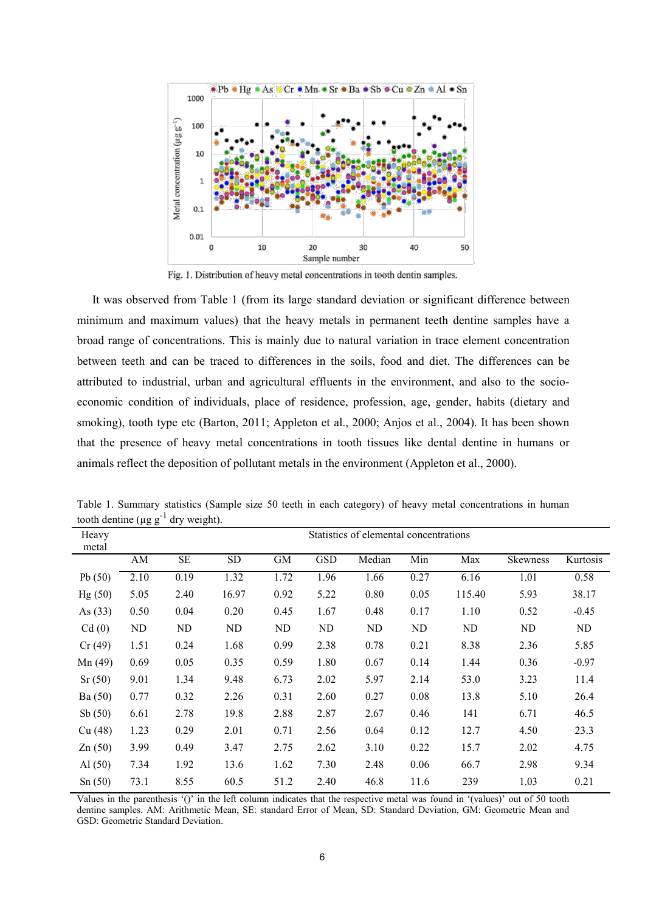

Fig. 1. Distribution of heavy metal concentrations in tooth dentin samples.

It was observed from Table 1 (from its large standard deviation or significant difference between minimum and maximum values) that the heavy metals in permanent teeth dentine samples have a broad range of concentrations. This is mainly due to natural variation in trace element concentration between teeth and can be traced to differences in the soils, food and diet. The differences can be attributed to industrial, urban and agricultural effluents in the environment, and also to the socio economic condition of individuals, place of residence, profession, age, gender, habits (dietary and smoking), tooth type etc (Barton, 2011; Appleton et al., 2000; Anjos et al., 2004). It has been shown that the presence of heavy metal concentrations in tooth tissues like dental dentine in humans or animals reflect the deposition of pollutant metals in the environment (Appleton et al., 2000).

| Heavy     |      | Statistics of elemental concentrations |           |           |            |        |      |        |          |          |  |  |
|-----------|------|----------------------------------------|-----------|-----------|------------|--------|------|--------|----------|----------|--|--|
| metal     |      |                                        |           |           |            |        |      |        |          |          |  |  |
|           | AM   | <b>SE</b>                              | <b>SD</b> | <b>GM</b> | <b>GSD</b> | Median | Min  | Max    | Skewness | Kurtosis |  |  |
| Pb $(50)$ | 2.10 | 0.19                                   | 1.32      | 1.72      | 1.96       | 1.66   | 0.27 | 6.16   | 1.01     | 0.58     |  |  |
| Hg(50)    | 5.05 | 2.40                                   | 16.97     | 0.92      | 5.22       | 0.80   | 0.05 | 115.40 | 5.93     | 38.17    |  |  |
| As $(33)$ | 0.50 | 0.04                                   | 0.20      | 0.45      | 1.67       | 0.48   | 0.17 | 1.10   | 0.52     | $-0.45$  |  |  |
| Cd(0)     | ND   | ND                                     | ND        | ND.       | ND         | ND     | ND   | ND.    | ND       | ND       |  |  |
| Cr(49)    | 1.51 | 0.24                                   | 1.68      | 0.99      | 2.38       | 0.78   | 0.21 | 8.38   | 2.36     | 5.85     |  |  |
| Mn(49)    | 0.69 | 0.05                                   | 0.35      | 0.59      | 1.80       | 0.67   | 0.14 | 1.44   | 0.36     | $-0.97$  |  |  |
| Sr(50)    | 9.01 | 1.34                                   | 9.48      | 6.73      | 2.02       | 5.97   | 2.14 | 53.0   | 3.23     | 11.4     |  |  |
| Ba (50)   | 0.77 | 0.32                                   | 2.26      | 0.31      | 2.60       | 0.27   | 0.08 | 13.8   | 5.10     | 26.4     |  |  |
| Sb $(50)$ | 6.61 | 2.78                                   | 19.8      | 2.88      | 2.87       | 2.67   | 0.46 | 141    | 6.71     | 46.5     |  |  |
| Cu (48)   | 1.23 | 0.29                                   | 2.01      | 0.71      | 2.56       | 0.64   | 0.12 | 12.7   | 4.50     | 23.3     |  |  |
| Zn(50)    | 3.99 | 0.49                                   | 3.47      | 2.75      | 2.62       | 3.10   | 0.22 | 15.7   | 2.02     | 4.75     |  |  |
| Al(50)    | 7.34 | 1.92                                   | 13.6      | 1.62      | 7.30       | 2.48   | 0.06 | 66.7   | 2.98     | 9.34     |  |  |
| Sn(50)    | 73.1 | 8.55                                   | 60.5      | 51.2      | 2.40       | 46.8   | 11.6 | 239    | 1.03     | 0.21     |  |  |

Table 1. Summary statistics (Sample size 50 teeth in each category) of heavy metal concentrations in human tooth dentine ( $\mu$ g g<sup>-1</sup> dry weight).

Values in the parenthesis '()' in the left column indicates that the respective metal was found in '(values)' out of 50 tooth dentine samples. AM: Arithmetic Mean, SE: standard Error of Mean, SD: Standard Deviation, GM: Geometric Mean and GSD: Geometric Standard Deviation.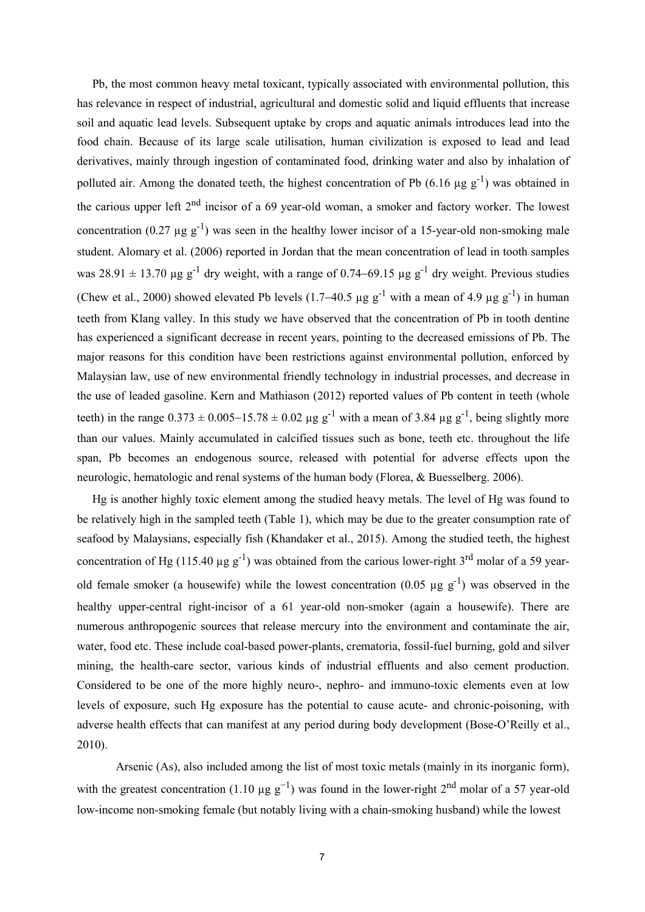Pb, the most common heavy metal toxicant, typically associated with environmental pollution, this has relevance in respect of industrial, agricultural and domestic solid and liquid effluents that increase soil and aquatic lead levels. Subsequent uptake by crops and aquatic animals introduces lead into the food chain. Because of its large scale utilisation, human civilization is exposed to lead and lead derivatives, mainly through ingestion of contaminated food, drinking water and also by inhalation of polluted air. Among the donated teeth, the highest concentration of Pb (6.16  $\mu$ g g<sup>-1</sup>) was obtained in the carious upper left 2<sup>nd</sup> incisor of a 69 year-old woman, a smoker and factory worker. The lowest concentration (0.27  $\mu$ g g<sup>-1</sup>) was seen in the healthy lower incisor of a 15-year-old non-smoking male student. Alomary et al. (2006) reported in Jordan that the mean concentration of lead in tooth samples was 28.91  $\pm$  13.70 µg g<sup>-1</sup> dry weight, with a range of 0.74–69.15 µg g<sup>-1</sup> dry weight. Previous studies (Chew et al., 2000) showed elevated Pb levels (1.7–40.5 µg g<sup>-1</sup> with a mean of 4.9 µg g<sup>-1</sup>) in human teeth from Klang valley. In this study we have observed that the concentration of Pb in tooth dentine has experienced a significant decrease in recent years, pointing to the decreased emissions of Pb. The major reasons for this condition have been restrictions against environmental pollution, enforced by Malaysian law, use of new environmental friendly technology in industrial processes, and decrease in the use of leaded gasoline. Kern and Mathiason (2012) reported values of Pb content in teeth (whole teeth) in the range  $0.373 \pm 0.005 - 15.78 \pm 0.02$  µg g<sup>-1</sup> with a mean of 3.84 µg g<sup>-1</sup>, being slightly more than our values. Mainly accumulated in calcified tissues such as bone, teeth etc. throughout the life span, Pb becomes an endogenous source, released with potential for adverse effects upon the neurologic, hematologic and renal systems of the human body (Florea, & Buesselberg. 2006).

Hg is another highly toxic element among the studied heavy metals. The level of Hg was found to be relatively high in the sampled teeth (Table 1), which may be due to the greater consumption rate of seafood by Malaysians, especially fish (Khandaker et al., 2015). Among the studied teeth, the highest concentration of Hg (115.40  $\mu$ g g<sup>-1</sup>) was obtained from the carious lower-right 3<sup>rd</sup> molar of a 59 yearold female smoker (a housewife) while the lowest concentration (0.05  $\mu$ g g<sup>-1</sup>) was observed in the healthy upper-central right-incisor of a 61 year-old non-smoker (again a housewife). There are numerous anthropogenic sources that release mercury into the environment and contaminate the air, water, food etc. These include coal-based power-plants, crematoria, fossil-fuel burning, gold and silver mining, the health-care sector, various kinds of industrial effluents and also cement production. Considered to be one of the more highly neuro-, nephro- and immuno-toxic elements even at low levels of exposure, such Hg exposure has the potential to cause acute- and chronic-poisoning, with adverse health effects that can manifest at any period during body development (Bose-O'Reilly et al., 2010).

Arsenic (As), also included among the list of most toxic metals (mainly in its inorganic form), with the greatest concentration (1.10  $\mu$ g g<sup>-1</sup>) was found in the lower-right 2<sup>nd</sup> molar of a 57 year-old low-income non-smoking female (but notably living with a chain-smoking husband) while the lowest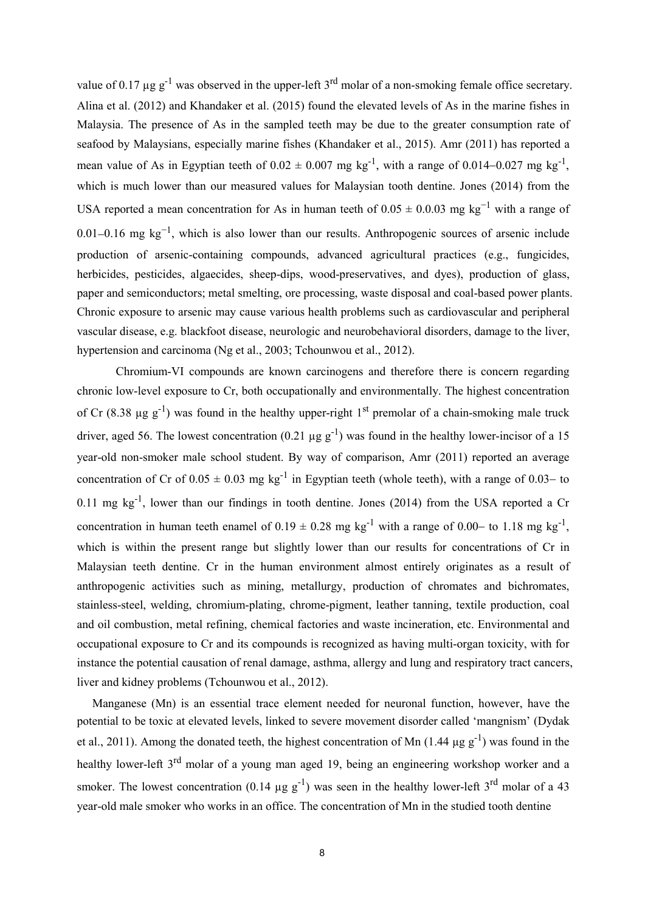value of 0.17  $\mu$ g g<sup>-1</sup> was observed in the upper-left 3<sup>rd</sup> molar of a non-smoking female office secretary. Alina et al. (2012) and Khandaker et al. (2015) found the elevated levels of As in the marine fishes in Malaysia. The presence of As in the sampled teeth may be due to the greater consumption rate of seafood by Malaysians, especially marine fishes (Khandaker et al., 2015). Amr (2011) has reported a mean value of As in Egyptian teeth of  $0.02 \pm 0.007$  mg kg<sup>-1</sup>, with a range of  $0.014-0.027$  mg kg<sup>-1</sup>, , which is much lower than our measured values for Malaysian tooth dentine. Jones (2014) from the USA reported a mean concentration for As in human teeth of  $0.05 \pm 0.0.03$  mg kg<sup>-1</sup> with a range of 0.01–0.16 mg  $kg^{-1}$ , which is also lower than our results. Anthropogenic sources of arsenic include production of arsenic-containing compounds, advanced agricultural practices (e.g., fungicides, herbicides, pesticides, algaecides, sheep-dips, wood-preservatives, and dyes), production of glass, paper and semiconductors; metal smelting, ore processing, waste disposal and coal-based power plants. Chronic exposure to arsenic may cause various health problems such as cardiovascular and peripheral vascular disease, e.g. blackfoot disease, neurologic and neurobehavioral disorders, damage to the liver, hypertension and carcinoma (Ng et al., 2003; Tchounwou et al., 2012).

Chromium-VI compounds are known carcinogens and therefore there is concern regarding chronic low-level exposure to Cr, both occupationally and environmentally. The highest concentration of Cr (8.38  $\mu$ g g<sup>-1</sup>) was found in the healthy upper-right 1<sup>st</sup> premolar of a chain-smoking male truck driver, aged 56. The lowest concentration (0.21  $\mu$ g g<sup>-1</sup>) was found in the healthy lower-incisor of a 15 year-old non-smoker male school student. By way of comparison, Amr (2011) reported an average concentration of Cr of  $0.05 \pm 0.03$  mg kg<sup>-1</sup> in Egyptian teeth (whole teeth), with a range of 0.03– to  $0.11$  mg kg<sup>-1</sup>, lower than our findings in tooth dentine. Jones (2014) from the USA reported a Cr concentration in human teeth enamel of  $0.19 \pm 0.28$  mg kg<sup>-1</sup> with a range of  $0.00-$  to 1.18 mg kg<sup>-1</sup>, , which is within the present range but slightly lower than our results for concentrations of Cr in Malaysian teeth dentine. Cr in the human environment almost entirely originates as a result of anthropogenic activities such as mining, metallurgy, production of chromates and bichromates, stainless-steel, welding, chromium-plating, chrome-pigment, leather tanning, textile production, coal and oil combustion, metal refining, chemical factories and waste incineration, etc. Environmental and occupational exposure to Cr and its compounds is recognized as having multi-organ toxicity, with for instance the potential causation of renal damage, asthma, allergy and lung and respiratory tract cancers, liver and kidney problems (Tchounwou et al., 2012).

Manganese (Mn) is an essential trace element needed for neuronal function, however, have the potential to be toxic at elevated levels, linked to severe movement disorder called 'mangnism' (Dydak et al., 2011). Among the donated teeth, the highest concentration of Mn (1.44  $\mu$ g g<sup>-1</sup>) was found in the healthy lower-left 3<sup>rd</sup> molar of a young man aged 19, being an engineering workshop worker and a smoker. The lowest concentration (0.14  $\mu$ g g<sup>-1</sup>) was seen in the healthy lower-left 3<sup>rd</sup> molar of a 43 year-old male smoker who works in an office. The concentration of Mn in the studied tooth dentine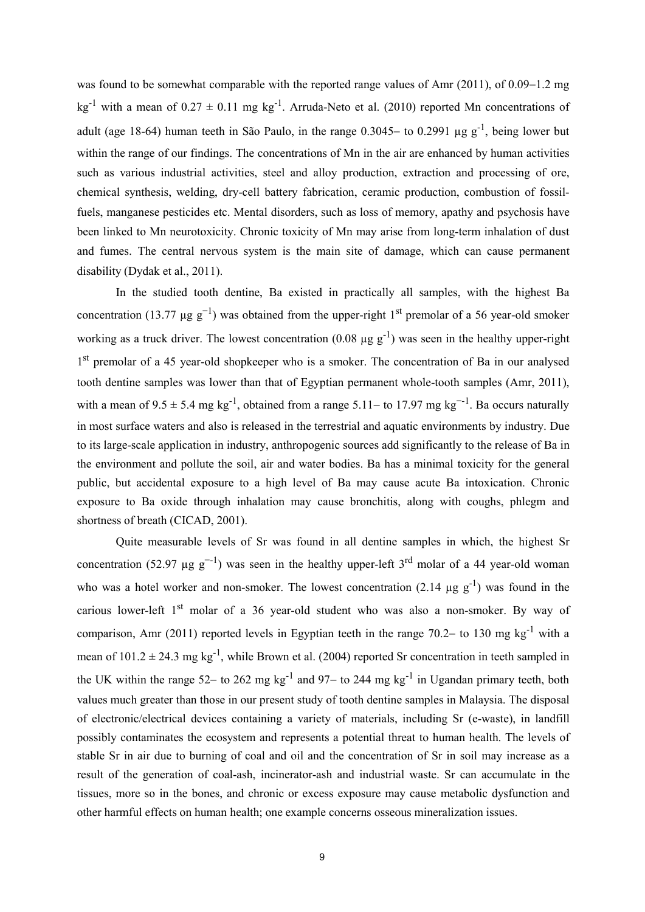was found to be somewhat comparable with the reported range values of Amr  $(2011)$ , of  $0.09-1.2$  mg kg<sup>-1</sup> with a mean of  $0.27 \pm 0.11$  mg kg<sup>-1</sup>. Arruda-Neto et al. (2010) reported Mn concentrations of adult (age 18-64) human teeth in São Paulo, in the range  $0.3045-$  to  $0.2991 \mu g g^{-1}$ , being lower but within the range of our findings. The concentrations of Mn in the air are enhanced by human activities such as various industrial activities, steel and alloy production, extraction and processing of ore, chemical synthesis, welding, dry-cell battery fabrication, ceramic production, combustion of fossilfuels, manganese pesticides etc. Mental disorders, such as loss of memory, apathy and psychosis have been linked to Mn neurotoxicity. Chronic toxicity of Mn may arise from long-term inhalation of dust and fumes. The central nervous system is the main site of damage, which can cause permanent disability (Dydak et al., 2011).

In the studied tooth dentine, Ba existed in practically all samples, with the highest Ba concentration (13.77  $\mu$ g g<sup>-1</sup>) was obtained from the upper-right 1<sup>st</sup> premolar of a 56 year-old smoker working as a truck driver. The lowest concentration (0.08  $\mu$ g g<sup>-1</sup>) was seen in the healthy upper-right 1<sup>st</sup> premolar of a 45 year-old shopkeeper who is a smoker. The concentration of Ba in our analysed tooth dentine samples was lower than that of Egyptian permanent whole-tooth samples (Amr, 2011), with a mean of  $9.5 \pm 5.4$  mg kg<sup>-1</sup>, obtained from a range  $5.11-$  to 17.97 mg kg<sup>--1</sup>. Ba occurs naturally in most surface waters and also is released in the terrestrial and aquatic environments by industry. Due to its large-scale application in industry, anthropogenic sources add significantly to the release of Ba in the environment and pollute the soil, air and water bodies. Ba has a minimal toxicity for the general public, but accidental exposure to a high level of Ba may cause acute Ba intoxication. Chronic exposure to Ba oxide through inhalation may cause bronchitis, along with coughs, phlegm and shortness of breath (CICAD, 2001).

Quite measurable levels of Sr was found in all dentine samples in which, the highest Sr concentration (52.97  $\mu$ g g<sup>--1</sup>) was seen in the healthy upper-left 3<sup>rd</sup> molar of a 44 year-old woman who was a hotel worker and non-smoker. The lowest concentration (2.14  $\mu$ g g<sup>-1</sup>) was found in the carious lower-left 1<sup>st</sup> molar of a 36 year-old student who was also a non-smoker. By way of comparison, Amr (2011) reported levels in Egyptian teeth in the range 70.2– to 130 mg kg<sup>-1</sup> with a mean of  $101.2 \pm 24.3$  mg kg<sup>-1</sup>, while Brown et al. (2004) reported Sr concentration in teeth sampled in the UK within the range 52– to 262 mg kg<sup>-1</sup> and 97– to 244 mg kg<sup>-1</sup> in Ugandan primary teeth, both values much greater than those in our present study of tooth dentine samples in Malaysia. The disposal of electronic/electrical devices containing a variety of materials, including Sr (e-waste), in landfill possibly contaminates the ecosystem and represents a potential threat to human health. The levels of stable Sr in air due to burning of coal and oil and the concentration of Sr in soil may increase as a result of the generation of coal-ash, incinerator-ash and industrialwaste. Sr can accumulate in the tissues, more so in the bones, and chronic or excess exposure may cause metabolic dysfunction and other harmful effects on human health; one example concerns osseous mineralization issues.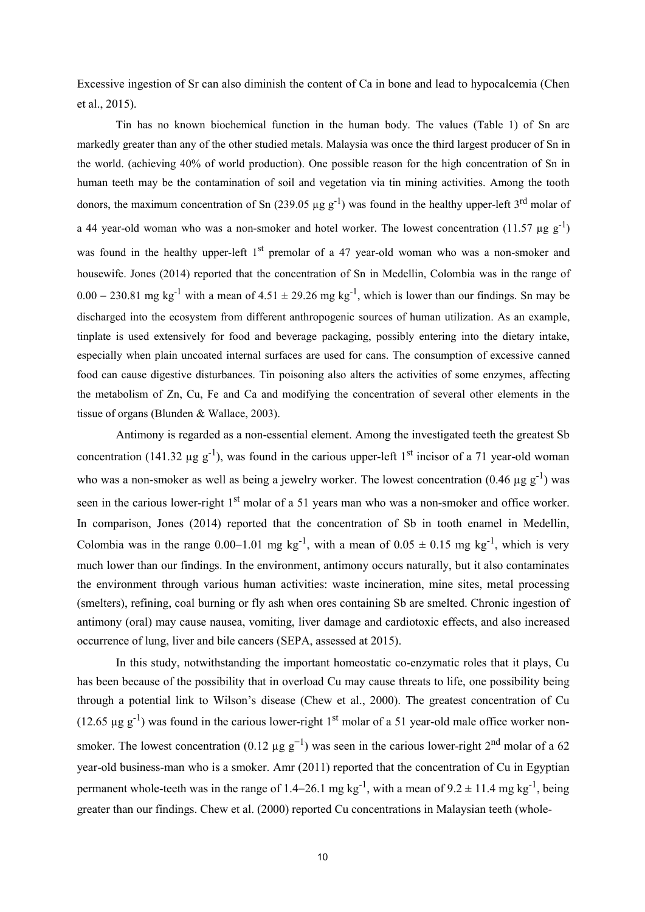Excessive ingestion of Sr can also diminish the content of Ca in bone and lead to hypocalcemia (Chen et al., 2015).

Tin has no known biochemical function in the human body. The values (Table 1) of Sn are markedly greater than any of the other studied metals. Malaysia was once the third largest producer of Sn in the world. (achieving 40% of world production). One possible reason for the high concentration of Sn in human teeth may be the contamination of soil and vegetation via tin mining activities. Among the tooth donors, the maximum concentration of Sn (239.05  $\mu$ g g<sup>-1</sup>) was found in the healthy upper-left 3<sup>rd</sup> molar of a 44 year-old woman who was a non-smoker and hotel worker. The lowest concentration (11.57  $\mu$ g g<sup>-1</sup>)  $)$ was found in the healthy upper-left 1<sup>st</sup> premolar of a 47 year-old woman who was a non-smoker and housewife. Jones (2014) reported that the concentration of Sn in Medellin, Colombia was in the range of  $0.00 - 230.81$  mg kg<sup>-1</sup> with a mean of  $4.51 \pm 29.26$  mg kg<sup>-1</sup>, which is lower than our findings. Sn may be discharged into the ecosystem from different anthropogenic sources of human utilization. As an example, tinplate is used extensively for food and beverage packaging, possibly entering into the dietary intake, especially when plain uncoated internal surfaces are used for cans. The consumption of excessive canned food can cause digestive disturbances. Tin poisoning also alters the activities of some enzymes, affecting the metabolism of Zn, Cu, Fe and Ca and modifying the concentration of several other elements in the tissue of organs (Blunden & Wallace, 2003).

Antimony is regarded as a non-essential element. Among the investigated teeth the greatest Sb concentration (141.32  $\mu$ g g<sup>-1</sup>), was found in the carious upper-left 1<sup>st</sup> incisor of a 71 year-old woman who was a non-smoker as well as being a jewelry worker. The lowest concentration (0.46  $\mu$ g g<sup>-1</sup>) was seen in the carious lower-right 1<sup>st</sup> molar of a 51 years man who was a non-smoker and office worker. In comparison, Jones (2014) reported that the concentration of Sb in tooth enamel in Medellin, Colombia was in the range  $0.00-1.01$  mg kg<sup>-1</sup>, with a mean of  $0.05 \pm 0.15$  mg kg<sup>-1</sup>, which is very much lower than our findings. In the environment, antimony occurs naturally, but it also contaminates the environment through various human activities: waste incineration, mine sites, metal processing (smelters), refining, coal burning or fly ash when ores containing Sb are smelted. Chronic ingestion of antimony (oral) may cause nausea, vomiting, liver damage and cardiotoxic effects, and also increased occurrence of lung, liver and bile cancers (SEPA, assessed at 2015).

In this study, notwithstanding the important homeostatic co-enzymatic roles that it plays, Cu has been because of the possibility that in overload Cu may cause threats to life, one possibility being through a potential link to Wilson's disease (Chew et al., 2000). The greatest concentration of Cu (12.65  $\mu$ g g<sup>-1</sup>) was found in the carious lower-right 1<sup>st</sup> molar of a 51 year-old male office worker nonsmoker. The lowest concentration (0.12  $\mu$ g g<sup>-1</sup>) was seen in the carious lower-right 2<sup>nd</sup> molar of a 62 year-old business-man who is a smoker. Amr (2011) reported that the concentration of Cu in Egyptian permanent whole-teeth was in the range of 1.4–26.1 mg kg<sup>-1</sup>, with a mean of  $9.2 \pm 11.4$  mg kg<sup>-1</sup>, being greater than our findings. Chew et al. (2000) reported Cu concentrations in Malaysian teeth (whole-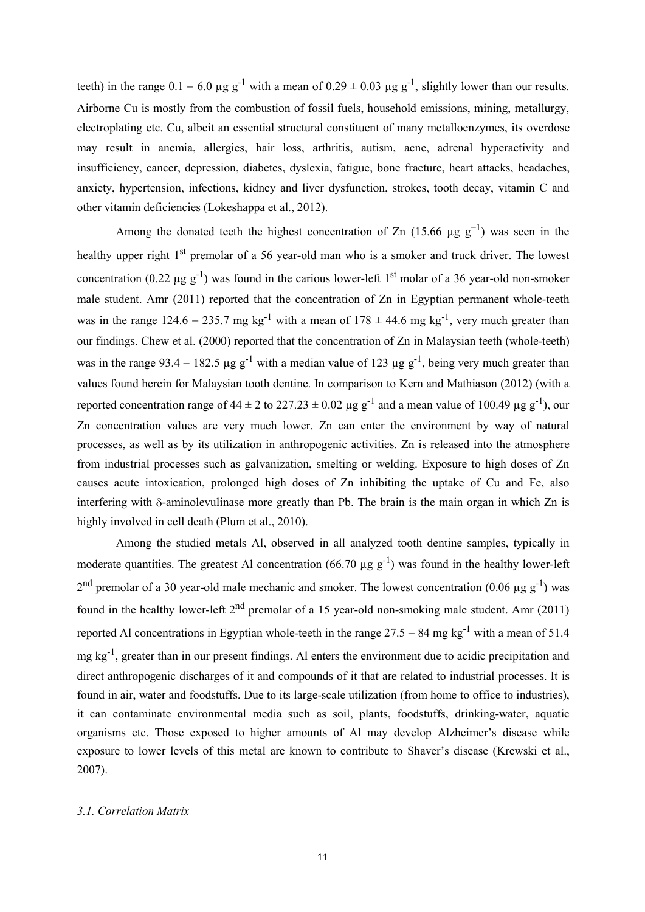teeth) in the range  $0.1 - 6.0 \mu g g^{-1}$  with a mean of  $0.29 \pm 0.03 \mu g g^{-1}$ , slightly lower than o Airborne Cu is mostly from the combustion of fossil fuels, household emissions, mining, metallurgy, electroplating etc. Cu, albeit an essential structural constituent of many metalloenzymes, its overdose may result in anemia, allergies, hair loss, arthritis, autism, acne, adrenal hyperactivity and insufficiency, cancer, depression, diabetes, dyslexia, fatigue, bone fracture, heart attacks, headaches, anxiety, hypertension, infections, kidney and liver dysfunction, strokes, tooth decay, vitamin C and other vitamin deficiencies (Lokeshappa et al., 2012).

Among the donated teeth the highest concentration of Zn  $(15.66 \mu g g^{-1})$  was seen in the healthy upper right 1<sup>st</sup> premolar of a 56 year-old man who is a smoker and truck driver. The lowest concentration (0.22  $\mu$ g g<sup>-1</sup>) was found in the carious lower-left 1<sup>st</sup> molar of a 36 year-old non-smoker male student. Amr (2011) reported that the concentration of Zn in Egyptian permanent whole-teeth was in the range 124.6 – 235.7 mg kg<sup>-1</sup> with a mean of 178  $\pm$  44.6 mg kg<sup>-1</sup>, very much greater than our findings. Chew et al. (2000) reported that the concentration of Zn in Malaysian teeth (whole-teeth) was in the range 93.4 – 182.5 µg g<sup>-1</sup> with a median value of 123 µg g<sup>-1</sup>, being very much greater than values found herein for Malaysian tooth dentine. In comparison to Kern and Mathiason (2012) (with a reported concentration range of 44  $\pm$  2 to 227.23  $\pm$  0.02 µg g<sup>-1</sup> and a mean value of 100.49 µg g<sup>-1</sup>), our Zn concentration values are very much lower. Zn can enter the environment by way of natural processes, as well as by its utilization in anthropogenic activities. Zn is released into the atmosphere from industrial processes such as galvanization, smelting or welding. Exposure to high doses of Zn causes acute intoxication, prolonged high doses of Zn inhibiting the uptake of Cu and Fe, also interfering with  $\delta$ -aminolevulinase more greatly than Pb. The brain is the main organ in which Zn is highly involved in cell death (Plum et al., 2010).

Among the studied metals Al, observed in all analyzed tooth dentine samples, typically in moderate quantities. The greatest Al concentration (66.70  $\mu$ g g<sup>-1</sup>) was found in the healthy lower-left  $2<sup>nd</sup>$  premolar of a 30 year-old male mechanic and smoker. The lowest concentration (0.06 µg g<sup>-1</sup>) was found in the healthy lower-left 2<sup>nd</sup> premolar of a 15 year-old non-smoking male student. Amr (2011) reported Al concentrations in Egyptian whole-teeth in the range  $27.5 - 84$  mg kg<sup>-1</sup> with a mean of 51.4 mg kg<sup>-1</sup>, greater than in our present findings. Al enters the environment due to acidic precipitation and direct anthropogenic discharges of it and compounds of it that are related to industrial processes. It is found in air, water and foodstuffs. Due to its large-scale utilization (from home to office to industries), it can contaminate environmental media such as soil, plants, foodstuffs, drinking-water, aquatic organisms etc. Those exposed to higher amounts of Al may develop Alzheimer's disease while exposure to lower levels of this metal are known to contribute to Shaver's disease (Krewski et al., 2007).

# *3.1. Correlation Matrix*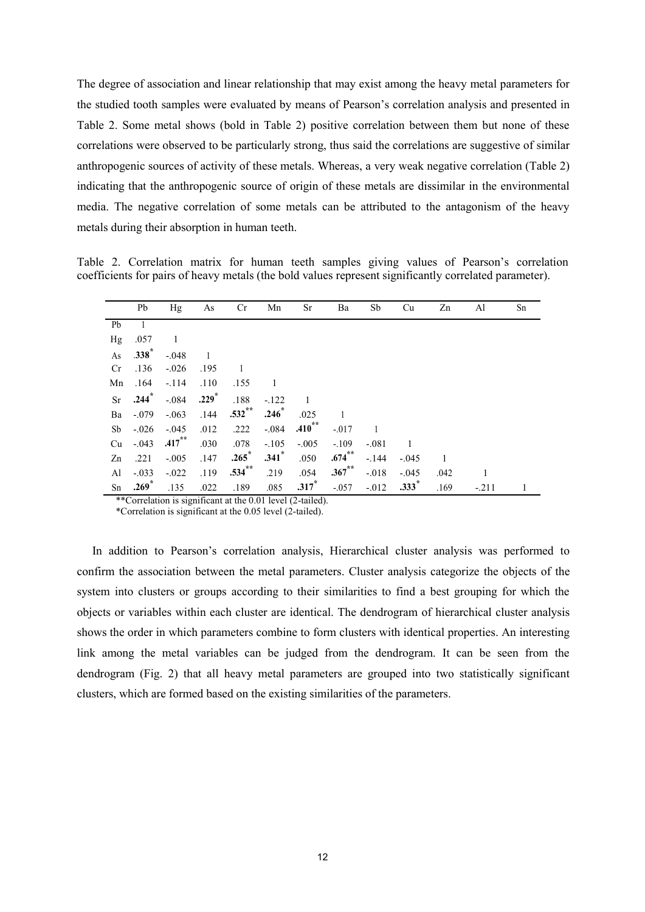The degree of association and linear relationship that may exist among the heavy metal parameters for the studied tooth samples were evaluated by means of Pearson's correlation analysis and presented in Table 2. Some metal shows (bold in Table 2) positive correlation between them but none of these correlations were observed to be particularly strong, thus said the correlations are suggestive of similar anthropogenic sources of activity of these metals. Whereas, a very weak negative correlation (Table 2) indicating that the anthropogenic source of origin of these metals are dissimilar in the environmental media. The negative correlation of some metals can be attributed to the antagonism of the heavy metals during their absorption in human teeth.

Table 2. Correlation matrix for human teeth samples giving values of Pearson's correlation coefficients for pairs of heavy metals (the bold values represent significantly correlated parameter).

|           | Pb      | Hg        | As             | Cr        | Mn                  | Sr      | Ba        | Sb      | Cu      | Zn   | Al      | Sn |
|-----------|---------|-----------|----------------|-----------|---------------------|---------|-----------|---------|---------|------|---------|----|
| Pb        |         |           |                |           |                     |         |           |         |         |      |         |    |
| Hg        | .057    | 1         |                |           |                     |         |           |         |         |      |         |    |
| As        | $.338*$ | $-.048$   | $\overline{1}$ |           |                     |         |           |         |         |      |         |    |
| Cr        | .136    | $-.026$   | .195           | -1        |                     |         |           |         |         |      |         |    |
| Mn        | .164    | $-.114$   | .110           | .155      | -1                  |         |           |         |         |      |         |    |
| <b>Sr</b> | $.244*$ | $-.084$   | $.229*$        | .188      | $-.122$             |         |           |         |         |      |         |    |
| Ba        | $-.079$ | $-.063$   | .144           | $.532$ ** | $.246*$             | .025    |           |         |         |      |         |    |
| Sb        | $-.026$ | $-.045$   | .012           | .222      | $-.084$             | .410    | $-.017$   |         |         |      |         |    |
| Cu        | $-.043$ | $.417***$ | .030           | .078      | $-.105$             | $-.005$ | $-.109$   | $-.081$ | 1       |      |         |    |
| Zn        | .221    | $-.005$   | .147           | $.265*$   | $.341$ <sup>*</sup> | .050    | $.674***$ | $-.144$ | $-.045$ | 1    |         |    |
| Al        | $-.033$ | $-.022$   | .119           | $.534$ ** | .219                | .054    | $.367$ ** | $-.018$ | $-.045$ | .042 | 1       |    |
| Sn        | $.269*$ | .135      | .022           | .189      | .085                | $.317*$ | $-.057$   | $-.012$ | $.333*$ | .169 | $-.211$ |    |

\*\*Correlation is significant at the 0.01 level (2-tailed).

\*Correlation is significant at the 0.05 level (2-tailed).

In addition to Pearson's correlation analysis, Hierarchical cluster analysis was performed to confirm the association between the metal parameters. Cluster analysis categorize the objects of the system into clusters or groups according to their similarities to find a best grouping for which the objects or variables within each cluster are identical. The dendrogram of hierarchical cluster analysis shows the order in which parameters combine to form clusters with identical properties. An interesting link among the metal variables can be judged from the dendrogram. It can be seen from the dendrogram (Fig. 2) that all heavy metal parameters are grouped into two statistically significant clusters, which are formed based on the existing similarities of the parameters.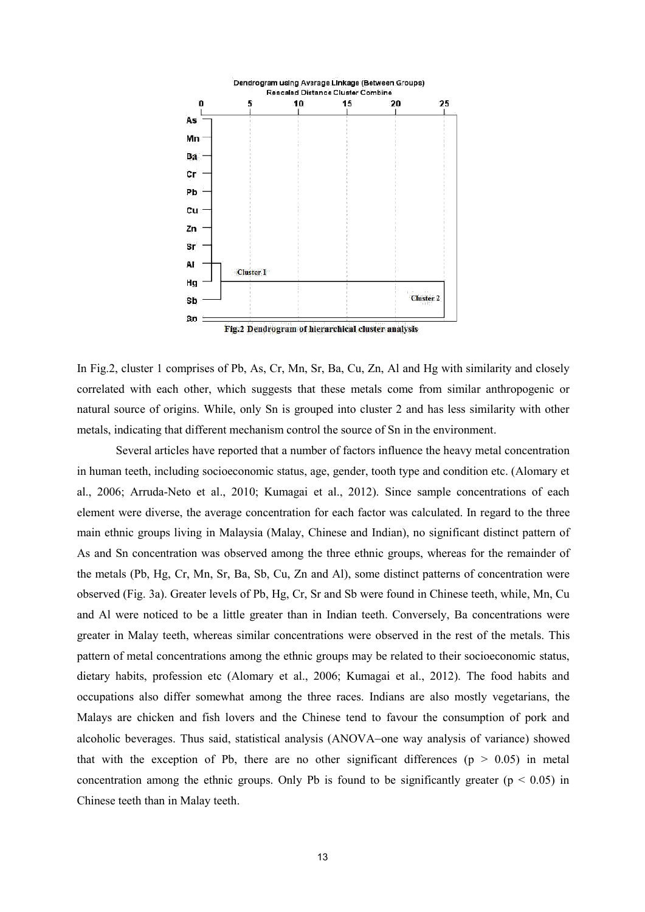

Fig.2 Dendrogram of hierarchical cluster analysis

In Fig.2, cluster 1 comprises of Pb, As, Cr, Mn, Sr, Ba, Cu, Zn, Al and Hg with similarity and closely correlated with each other, which suggests that these metals come from similar anthropogenic or natural source of origins. While, only Sn is grouped into cluster 2 and has less similarity with other metals, indicating that different mechanism control the source of Sn in the environment.

Several articles have reported that a number of factors influence the heavy metal concentration in human teeth, including socioeconomic status, age, gender, tooth type and condition etc. (Alomary et al., 2006; Arruda-Neto et al., 2010; Kumagai et al., 2012). Since sample concentrations of each element were diverse, the average concentration for each factor was calculated. In regard to the three main ethnic groups living in Malaysia (Malay, Chinese and Indian), no significant distinct pattern of As and Sn concentration was observed among the three ethnic groups, whereas for the remainder of the metals (Pb, Hg, Cr, Mn, Sr, Ba, Sb, Cu, Zn and Al), some distinct patterns of concentration were observed (Fig. 3a). Greater levels of Pb,Hg, Cr, Sr and Sb were found in Chinese teeth, while, Mn, Cu and Al were noticed to be a little greater than in Indian teeth. Conversely, Ba concentrations were greater in Malay teeth, whereas similar concentrations were observed in the rest of the metals. This pattern of metal concentrations among the ethnic groups may be related to their socioeconomic status, dietary habits, profession etc (Alomary et al., 2006; Kumagai et al., 2012). The food habits and occupations also differ somewhat among the three races. Indians are also mostly vegetarians, the Malays are chicken and fish lovers and the Chinese tend to favour the consumption of pork and alcoholic beverages. Thus said, statistical analysis (ANOVA-one way analysis of variance) showed that with the exception of Pb, there are no other significant differences ( $p > 0.05$ ) in metal concentration among the ethnic groups. Only Pb is found to be significantly greater ( $p < 0.05$ ) in Chinese teeth than in Malay teeth.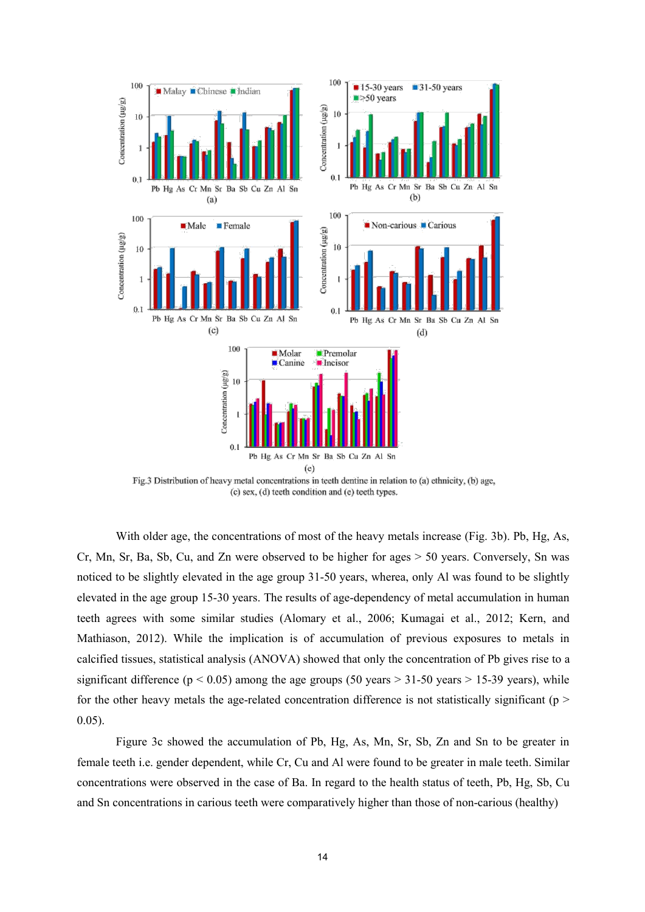

(c) sex, (d) teeth condition and (e) teeth types.

With older age, the concentrations of most of the heavy metals increase (Fig. 3b). Pb, Hg, As, Cr, Mn, Sr, Ba, Sb, Cu, and Zn were observed to be higher for ages > 50 years. Conversely, Sn was noticed to be slightly elevated in the age group 31-50 years, wherea, only Al was found to be slightly elevated in the age group 15-30 years. The results of age-dependency of metal accumulation in human teeth agrees with some similar studies (Alomary et al., 2006; Kumagai et al., 2012; Kern, and Mathiason, 2012). While the implication is of accumulation of previous exposures to metals in calcified tissues, statistical analysis (ANOVA) showed that only the concentration of Pb gives rise to a significant difference ( $p < 0.05$ ) among the age groups (50 years > 31-50 years > 15-39 years), while for the other heavy metals the age-related concentration difference is not statistically significant ( $p$  > 0.05).

Figure 3c showed the accumulation of Pb, Hg,As, Mn, Sr, Sb, Zn and Sn to be greater in female teeth i.e. gender dependent, while Cr, Cu and Al were found to be greater in male teeth. Similar concentrations were observed in the case of Ba. In regard to the health status of teeth, Pb, Hg, Sb, Cu and Sn concentrations in carious teeth were comparatively higher than those of non-carious (healthy)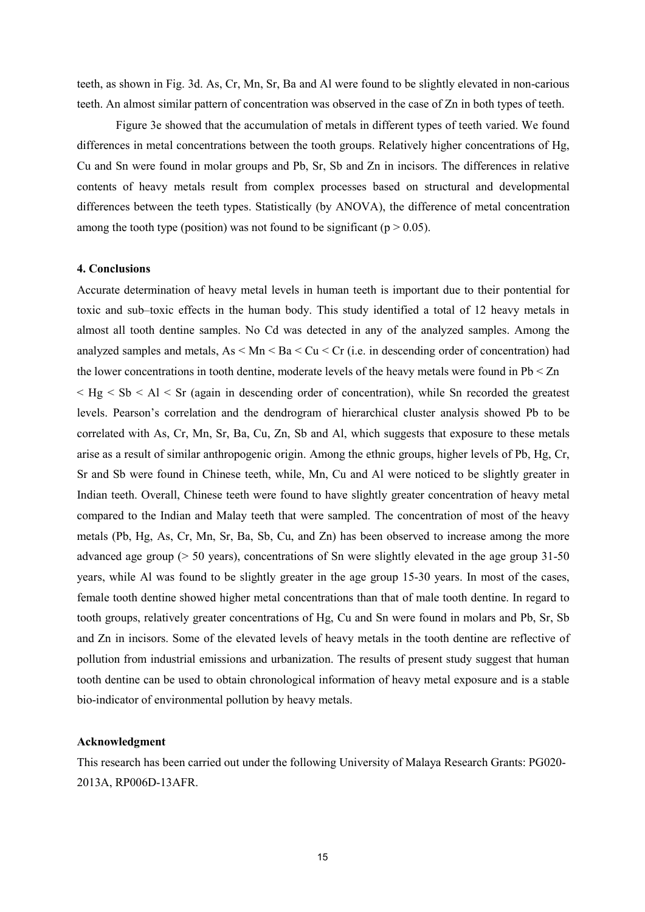teeth, as shown in Fig. 3d. As, Cr, Mn, Sr, Ba and Al were found to be slightly elevated in non-carious teeth. An almost similar pattern of concentration was observed in the case of Zn in both types of teeth.

Figure 3e showed that the accumulation of metals in different types of teeth varied. We found differences in metal concentrations between the tooth groups. Relatively higher concentrations of Hg, Cu and Sn were found in molar groups and Pb, Sr, Sb and Zn in incisors. The differences in relative contents of heavy metals result from complex processes based on structural and developmental differences between the teeth types. Statistically (by ANOVA), the difference of metal concentration among the tooth type (position) was not found to be significant ( $p > 0.05$ ).

# **4. Conclusions**

Accurate determination of heavy metal levels in human teeth is important due to their pontential for toxic and sub–toxic effects in the human body. This study identified a total of 12 heavy metals in almost all tooth dentine samples. No Cd was detected in any of the analyzed samples. Among the analyzed samples and metals,  $As < Mn < Ba < Cu < Cr$  (i.e. in descending order of concentration) had the lower concentrations in tooth dentine, moderate levels of the heavy metals were found in  $Pb < Zn$  $\leq$  Hg  $\leq$  Sb  $\leq$  Al  $\leq$  Sr (again in descending order of concentration), while Sn recorded the greatest levels. Pearson's correlation and the dendrogram of hierarchical cluster analysis showed Pb to be correlated with As, Cr, Mn, Sr, Ba, Cu, Zn, Sb and Al, which suggests that exposure to these metals arise as a result of similar anthropogenic origin. Among the ethnic groups, higher levels of Pb, Hg, Cr, Sr and Sb were found in Chinese teeth, while, Mn, Cu and Al were noticed to be slightly greater in Indian teeth. Overall, Chinese teeth were found to have slightly greater concentration of heavy metal compared to the Indian and Malay teeth that were sampled. The concentration of most of the heavy metals (Pb, Hg, As, Cr, Mn, Sr, Ba, Sb, Cu, and Zn) has been observed to increase among the more advanced age group (> 50 years), concentrations of Sn were slightly elevated in the age group 31-50 years, while Al was found to be slightly greater in the age group 15-30 years. In most of the cases, female tooth dentine showed higher metal concentrations than that of male tooth dentine. In regard to tooth groups, relatively greater concentrations of Hg, Cu and Sn were found in molars and Pb, Sr, Sb and Zn in incisors. Some of the elevated levels of heavy metals in the tooth dentine are reflective of pollution from industrial emissions and urbanization. The results of present study suggest that human tooth dentine can be used to obtain chronological information of heavy metal exposure and is a stable bio-indicator of environmental pollution by heavy metals.

# **Acknowledgment**

This research has been carried out under the following University of Malaya Research Grants: PG020- 2013A, RP006D-13AFR.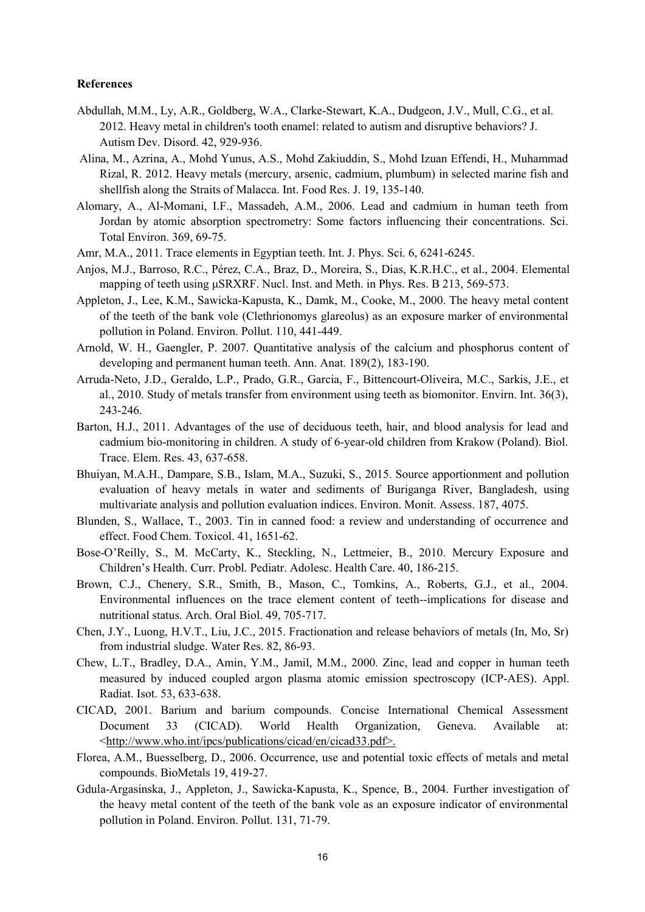# **References**

- Abdullah, M.M., Ly, A.R., Goldberg, W.A., Clarke-Stewart, K.A., Dudgeon, J.V., Mull, C.G., et al. 2012. Heavy metal in children's tooth enamel: related to autism and disruptive behaviors? J. Autism Dev. Disord. 42, 929-936.
- Alina, M., Azrina, A., Mohd Yunus, A.S., Mohd Zakiuddin, S., Mohd Izuan Effendi, H., Muhammad Rizal, R. 2012. Heavy metals (mercury, arsenic, cadmium, plumbum) in selected marine fish and shellfish along the Straits of Malacca. Int. Food Res. J. 19, 135-140.
- Alomary, A., Al-Momani, I.F., Massadeh, A.M., 2006. Lead and cadmium in human teeth from Jordan by atomic absorption spectrometry: Some factors influencing their concentrations. Sci. Total Environ. 369, 69-75.
- Amr, M.A., 2011. Trace elements in Egyptian teeth. Int. J. Phys. Sci. 6, 6241-6245.
- Anjos, M.J., Barroso, R.C., Pérez, C.A., Braz, D., Moreira, S., Dias, K.R.H.C., et al., 2004. Elemental mapping of teeth using μSRXRF. Nucl. Inst. and Meth. in Phys. Res. B 213, 569-573.
- Appleton, J., Lee, K.M., Sawicka-Kapusta, K., Damk, M., Cooke, M., 2000. The heavy metal content of the teeth of the bank vole (Clethrionomys glareolus) as an exposure marker of environmental pollution in Poland. Environ. Pollut. 110, 441-449.
- Arnold, W. H., Gaengler, P. 2007. Quantitative analysis of the calcium and phosphorus content of developing and permanent human teeth. Ann. Anat. 189(2), 183-190.
- Arruda-Neto, J.D., Geraldo, L.P., Prado, G.R., Garcia, F., Bittencourt-Oliveira, M.C., Sarkis, J.E., et al., 2010. Study of metals transfer from environment using teeth as biomonitor. Envirn. Int. 36(3), 243-246.
- Barton, H.J., 2011. Advantages of the use of deciduous teeth, hair, and blood analysis for lead and cadmium bio-monitoring in children.A study of 6-year-old children from Krakow (Poland). Biol. Trace. Elem. Res. 43, 637-658.
- Bhuiyan, M.A.H., Dampare, S.B., Islam, M.A., Suzuki, S., 2015. Source apportionment and pollution evaluation of heavy metals in water and sediments of Buriganga River, Bangladesh, using multivariate analysis and pollution evaluation indices. Environ. Monit. Assess. 187, 4075.
- Blunden, S., Wallace, T., 2003. Tin in canned food: a review and understanding of occurrence and effect. Food Chem. Toxicol. 41, 1651-62.
- Bose-O'Reilly, S., M. McCarty, K., Steckling, N., Lettmeier, B., 2010. Mercury Exposure and Children's Health. Curr. Probl. Pediatr. Adolesc. Health Care. 40, 186-215.
- Brown, C.J., Chenery, S.R., Smith, B., Mason, C., Tomkins, A., Roberts, G.J., et al., 2004. Environmental influences on the trace element content of teeth--implications for disease and nutritional status. Arch. Oral Biol. 49, 705-717.
- Chen, J.Y., Luong, H.V.T., Liu, J.C., 2015. Fractionation and release behaviors of metals (In, Mo, Sr) from industrial sludge. Water Res. 82, 86-93.
- Chew, L.T., Bradley, D.A., Amin, Y.M., Jamil, M.M., 2000. Zinc, lead and copper in human teeth measured by induced coupled argon plasma atomic emission spectroscopy (ICP-AES). Appl. Radiat. Isot. 53, 633-638.
- CICAD, 2001. Barium and barium compounds. Concise International Chemical Assessment Document 33 (CICAD). World Health Organization, Geneva. Available at: [<http://www.who.int/ipcs/publications/cicad/en/cicad33.pdf>.](http://www.who.int/ipcs/publications/cicad/en/cicad33.pdf%3e)
- Florea, A.M., Buesselberg, D., 2006. Occurrence, use and potential toxic effects of metals and metal compounds. BioMetals 19, 419-27.
- Gdula-Argasinska, J., Appleton, J., Sawicka-Kapusta, K., Spence, B., 2004. Further investigation of the heavy metal content of the teeth of the bank vole as an exposure indicator of environmental pollution in Poland. Environ. Pollut. 131, 71-79.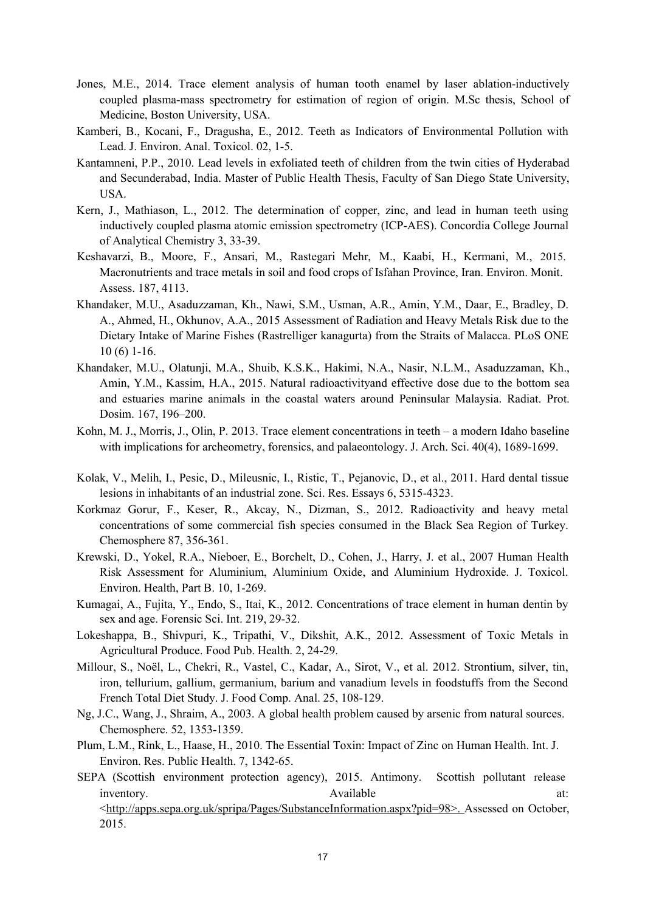- Jones, M.E., 2014. Trace element analysis of human tooth enamel by laser ablation-inductively coupled plasma-mass spectrometry for estimation of region of origin. M.Sc thesis, School of Medicine, Boston University, USA.
- Kamberi, B., Kocani, F., Dragusha, E., 2012. Teeth as Indicators of Environmental Pollution with Lead. J. Environ. Anal. Toxicol. 02, 1-5.
- Kantamneni, P.P., 2010. Lead levels in exfoliated teeth of children from the twin cities of Hyderabad and Secunderabad, India. Master of Public Health Thesis, Faculty of San Diego State University, USA.
- Kern, J., Mathiason, L., 2012. The determination of copper, zinc, and lead in human teeth using inductively coupled plasma atomic emission spectrometry (ICP-AES). Concordia College Journal of Analytical Chemistry 3, 33-39.
- Keshavarzi, B., Moore, F., Ansari, M., Rastegari Mehr, M., Kaabi, H., Kermani, M., 2015. Macronutrients and trace metals in soil and food crops of Isfahan Province, Iran. Environ. Monit. Assess. 187, 4113.
- Khandaker, M.U., Asaduzzaman, Kh., Nawi, S.M., Usman, A.R., Amin, Y.M., Daar, E., Bradley, D. A., Ahmed, H., Okhunov, A.A., 2015 Assessment of Radiation and Heavy Metals Risk due to the Dietary Intake of Marine Fishes (Rastrelliger kanagurta) from the Straits of Malacca. PLoS ONE 10 (6) 1-16.
- Khandaker, M.U., Olatunji, M.A., Shuib, K.S.K., Hakimi, N.A., Nasir, N.L.M., Asaduzzaman, Kh., Amin, Y.M., Kassim, H.A., 2015. Natural radioactivityand effective dose due to the bottom sea and estuaries marine animals in the coastalwaters around Peninsular Malaysia. Radiat. Prot. Dosim. 167, 196–200.
- Kohn, M. J., Morris, J., Olin, P. 2013. Trace element concentrations in teeth a modern Idaho baseline with implications for archeometry, forensics, and palaeontology. J. Arch. Sci. 40(4), 1689-1699.
- Kolak, V., Melih, I., Pesic, D., Mileusnic, I., Ristic, T., Pejanovic, D., et al., 2011. Hard dental tissue lesions in inhabitants of an industrial zone. Sci. Res. Essays 6, 5315-4323.
- Korkmaz Gorur, F., Keser, R., Akcay, N., Dizman, S., 2012. Radioactivity and heavy metal concentrations of some commercial fish species consumed in the Black Sea Region of Turkey. Chemosphere 87, 356-361.
- Krewski, D., Yokel, R.A., Nieboer, E., Borchelt, D., Cohen, J., Harry, J. et al., 2007 Human Health Risk Assessment for Aluminium, Aluminium Oxide, and Aluminium Hydroxide. J. Toxicol. Environ. Health, Part B. 10, 1-269.
- Kumagai, A., Fujita, Y., Endo, S., Itai, K., 2012. Concentrations of trace element in human dentin by sex and age. Forensic Sci. Int. 219, 29-32.
- Lokeshappa, B., Shivpuri, K., Tripathi, V., Dikshit, A.K., 2012. Assessment of Toxic Metals in Agricultural Produce. Food Pub. Health. 2, 24-29.
- Millour, S., Noël, L., Chekri, R., Vastel, C., Kadar, A., Sirot, V., et al. 2012. Strontium, silver, tin, iron, tellurium, gallium, germanium, barium and vanadium levels in foodstuffs from the Second French Total Diet Study. J. Food Comp. Anal. 25, 108-129.
- Ng, J.C., Wang, J., Shraim, A., 2003. A global health problem caused by arsenic from natural sources. Chemosphere. 52, 1353-1359.
- Plum, L.M., Rink, L., Haase, H., 2010. The Essential Toxin: Impact of Zinc on Human Health. Int.J. Environ. Res. Public Health. 7, 1342-65.
- SEPA (Scottish environment protection agency), 2015. Antimony. Scottish pollutant release inventory. Available at: [<http://apps.sepa.org.uk/spripa/Pages/SubstanceInformation.aspx?pid=98>.](http://apps.sepa.org.uk/spripa/Pages/SubstanceInformation.aspx?pid=98%3e) Assessed on October, 2015.